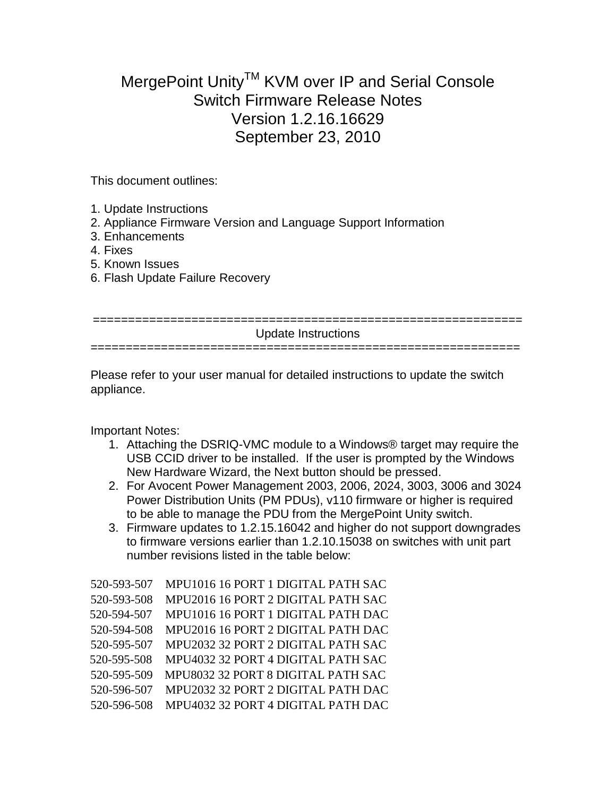## MergePoint Unity<sup>™</sup> KVM over IP and Serial Console Switch Firmware Release Notes Version 1.2.16.16629 September 23, 2010

This document outlines:

- 1. Update Instructions
- 2. Appliance Firmware Version and Language Support Information
- 3. Enhancements
- 4. Fixes
- 5. Known Issues
- 6. Flash Update Failure Recovery

| Update Instructions |
|---------------------|
|                     |
|                     |

Please refer to your user manual for detailed instructions to update the switch appliance.

Important Notes:

- 1. Attaching the DSRIQ-VMC module to a Windows® target may require the USB CCID driver to be installed. If the user is prompted by the Windows New Hardware Wizard, the Next button should be pressed.
- 2. For Avocent Power Management 2003, 2006, 2024, 3003, 3006 and 3024 Power Distribution Units (PM PDUs), v110 firmware or higher is required to be able to manage the PDU from the MergePoint Unity switch.
- 3. Firmware updates to 1.2.15.16042 and higher do not support downgrades to firmware versions earlier than 1.2.10.15038 on switches with unit part number revisions listed in the table below:

| 520-593-507 | MPU1016 16 PORT 1 DIGITAL PATH SAC |
|-------------|------------------------------------|
| 520-593-508 | MPU2016 16 PORT 2 DIGITAL PATH SAC |
| 520-594-507 | MPU1016 16 PORT 1 DIGITAL PATH DAC |
| 520-594-508 | MPU2016 16 PORT 2 DIGITAL PATH DAC |
| 520-595-507 | MPU2032 32 PORT 2 DIGITAL PATH SAC |
| 520-595-508 | MPU4032 32 PORT 4 DIGITAL PATH SAC |
| 520-595-509 | MPU8032 32 PORT 8 DIGITAL PATH SAC |
| 520-596-507 | MPU2032 32 PORT 2 DIGITAL PATH DAC |
| 520-596-508 | MPU4032 32 PORT 4 DIGITAL PATH DAC |
|             |                                    |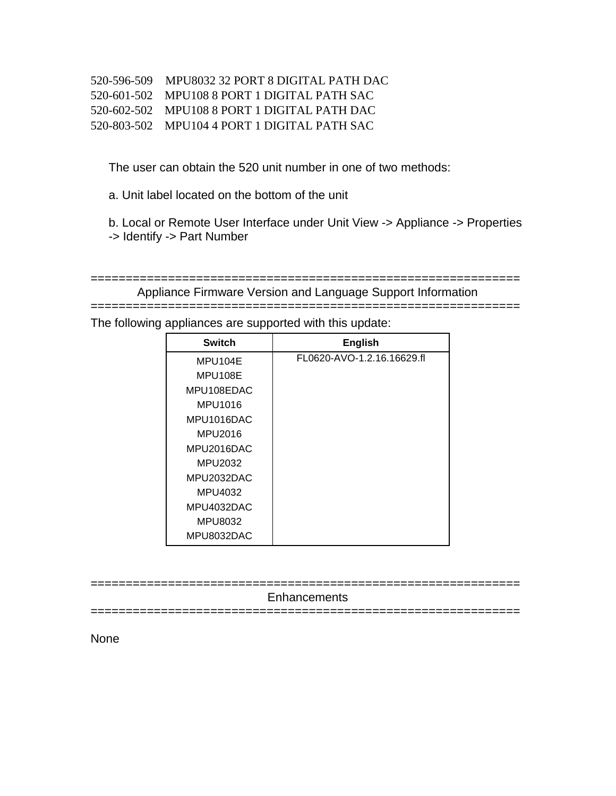| 520-596-509 MPU8032 32 PORT 8 DIGITAL PATH DAC |
|------------------------------------------------|
| 520-601-502 MPU108 8 PORT 1 DIGITAL PATH SAC   |
| 520-602-502 MPU108 8 PORT 1 DIGITAL PATH DAC   |
| 520-803-502 MPU104 4 PORT 1 DIGITAL PATH SAC   |

The user can obtain the 520 unit number in one of two methods:

a. Unit label located on the bottom of the unit

b. Local or Remote User Interface under Unit View -> Appliance -> Properties -> Identify -> Part Number

============================================================= Appliance Firmware Version and Language Support Information

=============================================================

The following appliances are supported with this update:

| <b>Switch</b> | <b>English</b>             |
|---------------|----------------------------|
| MPU104E       | FL0620-AVO-1.2.16.16629.fl |
| MPU108E       |                            |
| MPU108EDAC    |                            |
| MPU1016       |                            |
| MPU1016DAC    |                            |
| MPU2016       |                            |
| MPU2016DAC    |                            |
| MPU2032       |                            |
| MPU2032DAC    |                            |
| MPU4032       |                            |
| MPU4032DAC    |                            |
| MPU8032       |                            |
| MPU8032DAC    |                            |

============================================================= **Enhancements** =============================================================

None